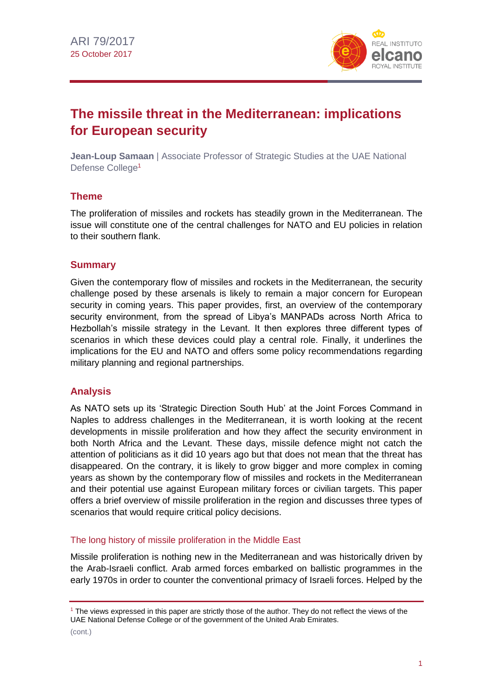

# **The missile threat in the Mediterranean: implications for European security**

**Jean-Loup Samaan** | Associate Professor of Strategic Studies at the UAE National Defense College<sup>1</sup>

# **Theme**

The proliferation of missiles and rockets has steadily grown in the Mediterranean. The issue will constitute one of the central challenges for NATO and EU policies in relation to their southern flank.

## **Summary**

Given the contemporary flow of missiles and rockets in the Mediterranean, the security challenge posed by these arsenals is likely to remain a major concern for European security in coming years. This paper provides, first, an overview of the contemporary security environment, from the spread of Libya's MANPADs across North Africa to Hezbollah's missile strategy in the Levant. It then explores three different types of scenarios in which these devices could play a central role. Finally, it underlines the implications for the EU and NATO and offers some policy recommendations regarding military planning and regional partnerships.

# **Analysis**

As NATO sets up its 'Strategic Direction South Hub' at the Joint Forces Command in Naples to address challenges in the Mediterranean, it is worth looking at the recent developments in missile proliferation and how they affect the security environment in both North Africa and the Levant. These days, missile defence might not catch the attention of politicians as it did 10 years ago but that does not mean that the threat has disappeared. On the contrary, it is likely to grow bigger and more complex in coming years as shown by the contemporary flow of missiles and rockets in the Mediterranean and their potential use against European military forces or civilian targets. This paper offers a brief overview of missile proliferation in the region and discusses three types of scenarios that would require critical policy decisions.

#### The long history of missile proliferation in the Middle East

Missile proliferation is nothing new in the Mediterranean and was historically driven by the Arab-Israeli conflict. Arab armed forces embarked on ballistic programmes in the early 1970s in order to counter the conventional primacy of Israeli forces. Helped by the

<sup>1</sup> The views expressed in this paper are strictly those of the author. They do not reflect the views of the UAE National Defense College or of the government of the United Arab Emirates.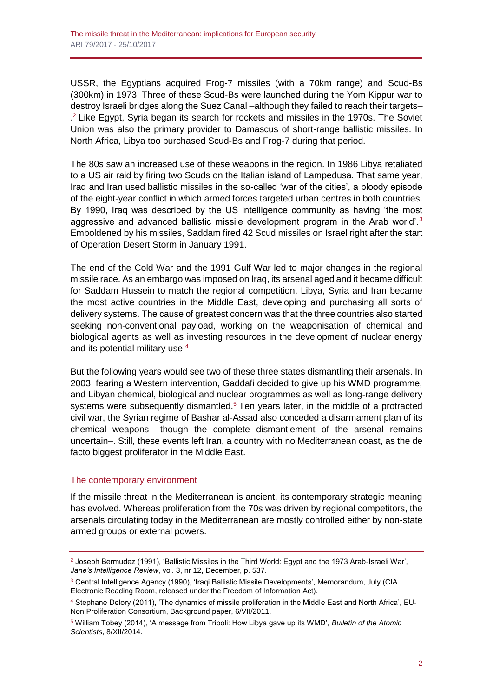USSR, the Egyptians acquired Frog-7 missiles (with a 70km range) and Scud-Bs (300km) in 1973. Three of these Scud-Bs were launched during the Yom Kippur war to destroy Israeli bridges along the Suez Canal –although they failed to reach their targets– . <sup>2</sup> Like Egypt, Syria began its search for rockets and missiles in the 1970s. The Soviet Union was also the primary provider to Damascus of short-range ballistic missiles. In North Africa, Libya too purchased Scud-Bs and Frog-7 during that period.

The 80s saw an increased use of these weapons in the region. In 1986 Libya retaliated to a US air raid by firing two Scuds on the Italian island of Lampedusa. That same year, Iraq and Iran used ballistic missiles in the so-called 'war of the cities', a bloody episode of the eight-year conflict in which armed forces targeted urban centres in both countries. By 1990, Iraq was described by the US intelligence community as having 'the most aggressive and advanced ballistic missile development program in the Arab world'.<sup>3</sup> Emboldened by his missiles, Saddam fired 42 Scud missiles on Israel right after the start of Operation Desert Storm in January 1991.

The end of the Cold War and the 1991 Gulf War led to major changes in the regional missile race. As an embargo was imposed on Iraq, its arsenal aged and it became difficult for Saddam Hussein to match the regional competition. Libya, Syria and Iran became the most active countries in the Middle East, developing and purchasing all sorts of delivery systems. The cause of greatest concern was that the three countries also started seeking non-conventional payload, working on the weaponisation of chemical and biological agents as well as investing resources in the development of nuclear energy and its potential military use.<sup>4</sup>

But the following years would see two of these three states dismantling their arsenals. In 2003, fearing a Western intervention, Gaddafi decided to give up his WMD programme, and Libyan chemical, biological and nuclear programmes as well as long-range delivery systems were subsequently dismantled. $5$  Ten years later, in the middle of a protracted civil war, the Syrian regime of Bashar al-Assad also conceded a disarmament plan of its chemical weapons –though the complete dismantlement of the arsenal remains uncertain–. Still, these events left Iran, a country with no Mediterranean coast, as the de facto biggest proliferator in the Middle East.

## The contemporary environment

If the missile threat in the Mediterranean is ancient, its contemporary strategic meaning has evolved. Whereas proliferation from the 70s was driven by regional competitors, the arsenals circulating today in the Mediterranean are mostly controlled either by non-state armed groups or external powers.

 $2$  Joseph Bermudez (1991), 'Ballistic Missiles in the Third World: Egypt and the 1973 Arab-Israeli War', *Jane's Intelligence Review*, vol. 3, nr 12, December, p. 537.

<sup>&</sup>lt;sup>3</sup> Central Intelligence Agency (1990), 'Iraqi Ballistic Missile Developments', Memorandum, July (CIA Electronic Reading Room, released under the Freedom of Information Act).

<sup>4</sup> Stephane Delory (2011), 'The dynamics of missile proliferation in the Middle East and North Africa', EU-Non Proliferation Consortium, Background paper, 6/VII/2011.

<sup>5</sup> William Tobey (2014), 'A message from Tripoli: How Libya gave up its WMD', *Bulletin of the Atomic Scientists*, 8/XII/2014.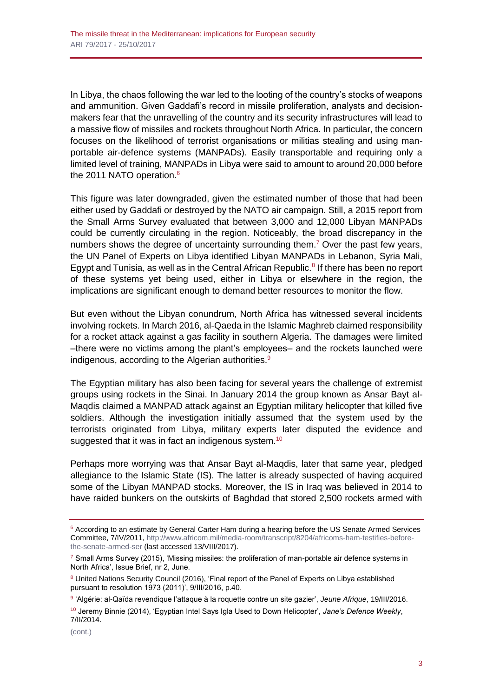In Libya, the chaos following the war led to the looting of the country's stocks of weapons and ammunition. Given Gaddafi's record in missile proliferation, analysts and decisionmakers fear that the unravelling of the country and its security infrastructures will lead to a massive flow of missiles and rockets throughout North Africa. In particular, the concern focuses on the likelihood of terrorist organisations or militias stealing and using manportable air-defence systems (MANPADs). Easily transportable and requiring only a limited level of training, MANPADs in Libya were said to amount to around 20,000 before the 2011 NATO operation.<sup>6</sup>

This figure was later downgraded, given the estimated number of those that had been either used by Gaddafi or destroyed by the NATO air campaign. Still, a 2015 report from the Small Arms Survey evaluated that between 3,000 and 12,000 Libyan MANPADs could be currently circulating in the region. Noticeably, the broad discrepancy in the numbers shows the degree of uncertainty surrounding them.<sup>7</sup> Over the past few years, the UN Panel of Experts on Libya identified Libyan MANPADs in Lebanon, Syria Mali, Egypt and Tunisia, as well as in the Central African Republic.<sup>8</sup> If there has been no report of these systems yet being used, either in Libya or elsewhere in the region, the implications are significant enough to demand better resources to monitor the flow.

But even without the Libyan conundrum, North Africa has witnessed several incidents involving rockets. In March 2016, al-Qaeda in the Islamic Maghreb claimed responsibility for a rocket attack against a gas facility in southern Algeria. The damages were limited –there were no victims among the plant's employees– and the rockets launched were indigenous, according to the Algerian authorities.<sup>9</sup>

The Egyptian military has also been facing for several years the challenge of extremist groups using rockets in the Sinai. In January 2014 the group known as Ansar Bayt al-Maqdis claimed a MANPAD attack against an Egyptian military helicopter that killed five soldiers. Although the investigation initially assumed that the system used by the terrorists originated from Libya, military experts later disputed the evidence and suggested that it was in fact an indigenous system.<sup>10</sup>

Perhaps more worrying was that Ansar Bayt al-Maqdis, later that same year, pledged allegiance to the Islamic State (IS). The latter is already suspected of having acquired some of the Libyan MANPAD stocks. Moreover, the IS in Iraq was believed in 2014 to have raided bunkers on the outskirts of Baghdad that stored 2,500 rockets armed with

<sup>&</sup>lt;sup>6</sup> According to an estimate by General Carter Ham during a hearing before the US Senate Armed Services Committee, 7/IV/2011, [http://www.africom.mil/media-room/transcript/8204/africoms-ham-testifies-before](http://www.africom.mil/media-room/transcript/8204/africoms-ham-testifies-before-the-senate-armed-ser)[the-senate-armed-ser](http://www.africom.mil/media-room/transcript/8204/africoms-ham-testifies-before-the-senate-armed-ser) (last accessed 13/VIII/2017).

 $7$  Small Arms Survey (2015), 'Missing missiles: the proliferation of man-portable air defence systems in North Africa', Issue Brief, nr 2, June.

<sup>8</sup> United Nations Security Council (2016), 'Final report of the Panel of Experts on Libya established pursuant to resolution 1973 (2011)', 9/III/2016, p.40.

<sup>9</sup> 'Algérie: al-Qaïda revendique l'attaque à la roquette contre un site gazier', *Jeune Afrique*, 19/III/2016. <sup>10</sup> Jeremy Binnie (2014), 'Egyptian Intel Says Igla Used to Down Helicopter', *Jane's Defence Weekly*, 7/II/2014.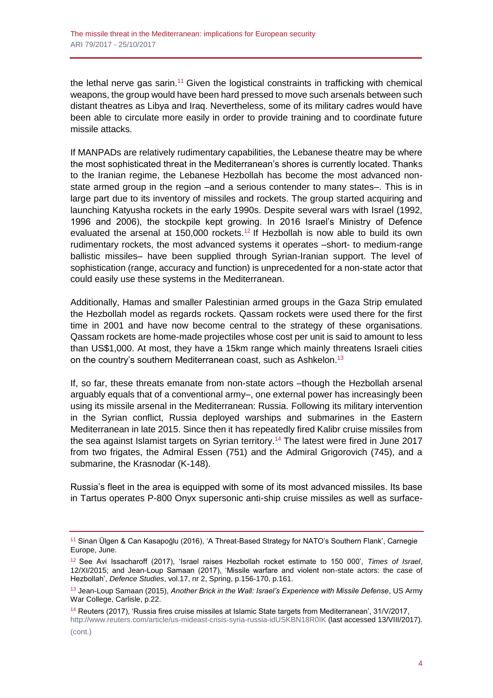the lethal nerve gas sarin.<sup>11</sup> Given the logistical constraints in trafficking with chemical weapons, the group would have been hard pressed to move such arsenals between such distant theatres as Libya and Iraq. Nevertheless, some of its military cadres would have been able to circulate more easily in order to provide training and to coordinate future missile attacks.

If MANPADs are relatively rudimentary capabilities, the Lebanese theatre may be where the most sophisticated threat in the Mediterranean's shores is currently located. Thanks to the Iranian regime, the Lebanese Hezbollah has become the most advanced nonstate armed group in the region –and a serious contender to many states–. This is in large part due to its inventory of missiles and rockets. The group started acquiring and launching Katyusha rockets in the early 1990s. Despite several wars with Israel (1992, 1996 and 2006), the stockpile kept growing. In 2016 Israel's Ministry of Defence evaluated the arsenal at 150,000 rockets.<sup>12</sup> If Hezbollah is now able to build its own rudimentary rockets, the most advanced systems it operates –short- to medium-range ballistic missiles– have been supplied through Syrian-Iranian support. The level of sophistication (range, accuracy and function) is unprecedented for a non-state actor that could easily use these systems in the Mediterranean.

Additionally, Hamas and smaller Palestinian armed groups in the Gaza Strip emulated the Hezbollah model as regards rockets. Qassam rockets were used there for the first time in 2001 and have now become central to the strategy of these organisations. Qassam rockets are home-made projectiles whose cost per unit is said to amount to less than US\$1,000. At most, they have a 15km range which mainly threatens Israeli cities on the country's southern Mediterranean coast, such as Ashkelon.<sup>13</sup>

If, so far, these threats emanate from non-state actors –though the Hezbollah arsenal arguably equals that of a conventional army–, one external power has increasingly been using its missile arsenal in the Mediterranean: Russia. Following its military intervention in the Syrian conflict, Russia deployed warships and submarines in the Eastern Mediterranean in late 2015. Since then it has repeatedly fired Kalibr cruise missiles from the sea against Islamist targets on Syrian territory.<sup>14</sup> The latest were fired in June 2017 from two frigates, the Admiral Essen (751) and the Admiral Grigorovich (745), and a submarine, the Krasnodar (K-148).

Russia's fleet in the area is equipped with some of its most advanced missiles. Its base in Tartus operates P-800 Onyx supersonic anti-ship cruise missiles as well as surface-

<sup>11</sup> Sinan Ülgen & Can Kasapoğlu (2016), 'A Threat-Based Strategy for NATO's Southern Flank', Carnegie Europe, June.

<sup>12</sup> See Avi Issacharoff (2017), 'Israel raises Hezbollah rocket estimate to 150 000', *Times of Israel*, 12/XI/2015; and Jean-Loup Samaan (2017), 'Missile warfare and violent non-state actors: the case of Hezbollah', *Defence Studies*, vol.17, nr 2, Spring, p.156-170, p.161.

<sup>13</sup> Jean-Loup Samaan (2015), *Another Brick in the Wall: Israel's Experience with Missile Defense*, US Army War College, Carlisle, p.22.

<sup>14</sup> Reuters (2017), 'Russia fires cruise missiles at Islamic State targets from Mediterranean', 31/V/2017,

<http://www.reuters.com/article/us-mideast-crisis-syria-russia-idUSKBN18R0IK> (last accessed 13/VIII/2017). (cont.)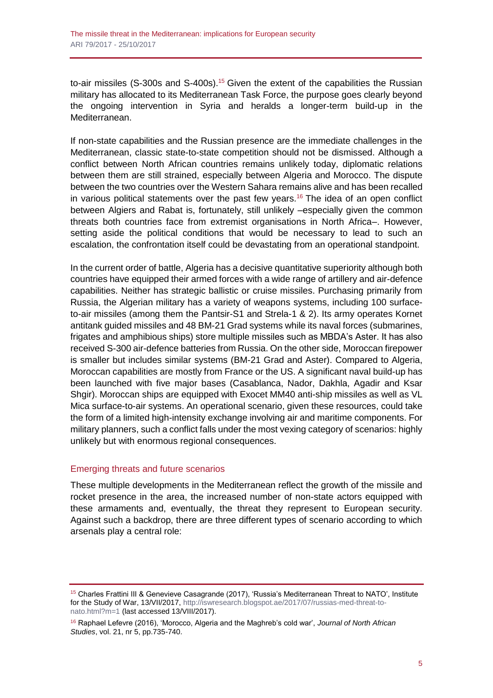to-air missiles (S-300s and S-400s).<sup>15</sup> Given the extent of the capabilities the Russian military has allocated to its Mediterranean Task Force, the purpose goes clearly beyond the ongoing intervention in Syria and heralds a longer-term build-up in the Mediterranean.

If non-state capabilities and the Russian presence are the immediate challenges in the Mediterranean, classic state-to-state competition should not be dismissed. Although a conflict between North African countries remains unlikely today, diplomatic relations between them are still strained, especially between Algeria and Morocco. The dispute between the two countries over the Western Sahara remains alive and has been recalled in various political statements over the past few years.<sup>16</sup> The idea of an open conflict between Algiers and Rabat is, fortunately, still unlikely –especially given the common threats both countries face from extremist organisations in North Africa–. However, setting aside the political conditions that would be necessary to lead to such an escalation, the confrontation itself could be devastating from an operational standpoint.

In the current order of battle, Algeria has a decisive quantitative superiority although both countries have equipped their armed forces with a wide range of artillery and air-defence capabilities. Neither has strategic ballistic or cruise missiles. Purchasing primarily from Russia, the Algerian military has a variety of weapons systems, including 100 surfaceto-air missiles (among them the Pantsir-S1 and Strela-1 & 2). Its army operates Kornet antitank guided missiles and 48 BM-21 Grad systems while its naval forces (submarines, frigates and amphibious ships) store multiple missiles such as MBDA's Aster. It has also received S-300 air-defence batteries from Russia. On the other side, Moroccan firepower is smaller but includes similar systems (BM-21 Grad and Aster). Compared to Algeria, Moroccan capabilities are mostly from France or the US. A significant naval build-up has been launched with five major bases (Casablanca, Nador, Dakhla, Agadir and Ksar Shgir). Moroccan ships are equipped with Exocet MM40 anti-ship missiles as well as VL Mica surface-to-air systems. An operational scenario, given these resources, could take the form of a limited high-intensity exchange involving air and maritime components. For military planners, such a conflict falls under the most vexing category of scenarios: highly unlikely but with enormous regional consequences.

#### Emerging threats and future scenarios

These multiple developments in the Mediterranean reflect the growth of the missile and rocket presence in the area, the increased number of non-state actors equipped with these armaments and, eventually, the threat they represent to European security. Against such a backdrop, there are three different types of scenario according to which arsenals play a central role:

<sup>&</sup>lt;sup>15</sup> Charles Frattini III & Genevieve Casagrande (2017), 'Russia's Mediterranean Threat to NATO', Institute for the Study of War, 13/VII/2017, [http://iswresearch.blogspot.ae/2017/07/russias-med-threat-to](http://iswresearch.blogspot.ae/2017/07/russias-med-threat-to-nato.html?m=1)[nato.html?m=1](http://iswresearch.blogspot.ae/2017/07/russias-med-threat-to-nato.html?m=1) (last accessed 13/VIII/2017).

<sup>16</sup> Raphael Lefevre (2016), 'Morocco, Algeria and the Maghreb's cold war', *Journal of North African Studies*, vol. 21, nr 5, pp.735-740.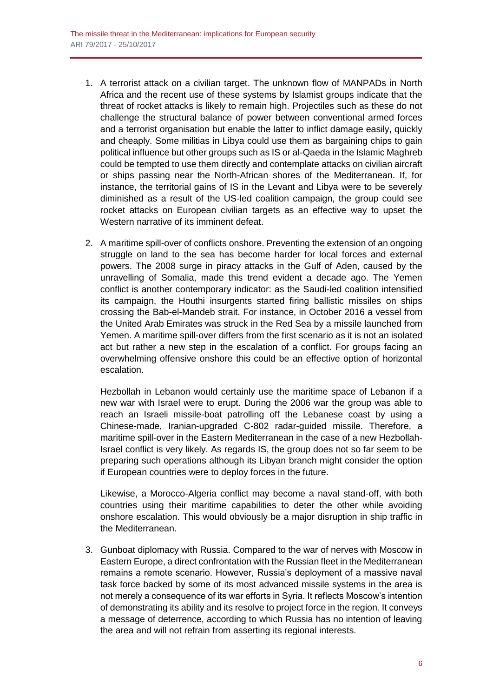- 1. A terrorist attack on a civilian target. The unknown flow of MANPADs in North Africa and the recent use of these systems by Islamist groups indicate that the threat of rocket attacks is likely to remain high. Projectiles such as these do not challenge the structural balance of power between conventional armed forces and a terrorist organisation but enable the latter to inflict damage easily, quickly and cheaply. Some militias in Libya could use them as bargaining chips to gain political influence but other groups such as IS or al-Qaeda in the Islamic Maghreb could be tempted to use them directly and contemplate attacks on civilian aircraft or ships passing near the North-African shores of the Mediterranean. If, for instance, the territorial gains of IS in the Levant and Libya were to be severely diminished as a result of the US-led coalition campaign, the group could see rocket attacks on European civilian targets as an effective way to upset the Western narrative of its imminent defeat.
- 2. A maritime spill-over of conflicts onshore. Preventing the extension of an ongoing struggle on land to the sea has become harder for local forces and external powers. The 2008 surge in piracy attacks in the Gulf of Aden, caused by the unravelling of Somalia, made this trend evident a decade ago. The Yemen conflict is another contemporary indicator: as the Saudi-led coalition intensified its campaign, the Houthi insurgents started firing ballistic missiles on ships crossing the Bab-el-Mandeb strait. For instance, in October 2016 a vessel from the United Arab Emirates was struck in the Red Sea by a missile launched from Yemen. A maritime spill-over differs from the first scenario as it is not an isolated act but rather a new step in the escalation of a conflict. For groups facing an overwhelming offensive onshore this could be an effective option of horizontal escalation.

Hezbollah in Lebanon would certainly use the maritime space of Lebanon if a new war with Israel were to erupt. During the 2006 war the group was able to reach an Israeli missile-boat patrolling off the Lebanese coast by using a Chinese-made, Iranian-upgraded C-802 radar-guided missile. Therefore, a maritime spill-over in the Eastern Mediterranean in the case of a new Hezbollah-Israel conflict is very likely. As regards IS, the group does not so far seem to be preparing such operations although its Libyan branch might consider the option if European countries were to deploy forces in the future.

Likewise, a Morocco-Algeria conflict may become a naval stand-off, with both countries using their maritime capabilities to deter the other while avoiding onshore escalation. This would obviously be a major disruption in ship traffic in the Mediterranean.

3. Gunboat diplomacy with Russia. Compared to the war of nerves with Moscow in Eastern Europe, a direct confrontation with the Russian fleet in the Mediterranean remains a remote scenario. However, Russia's deployment of a massive naval task force backed by some of its most advanced missile systems in the area is not merely a consequence of its war efforts in Syria. It reflects Moscow's intention of demonstrating its ability and its resolve to project force in the region. It conveys a message of deterrence, according to which Russia has no intention of leaving the area and will not refrain from asserting its regional interests.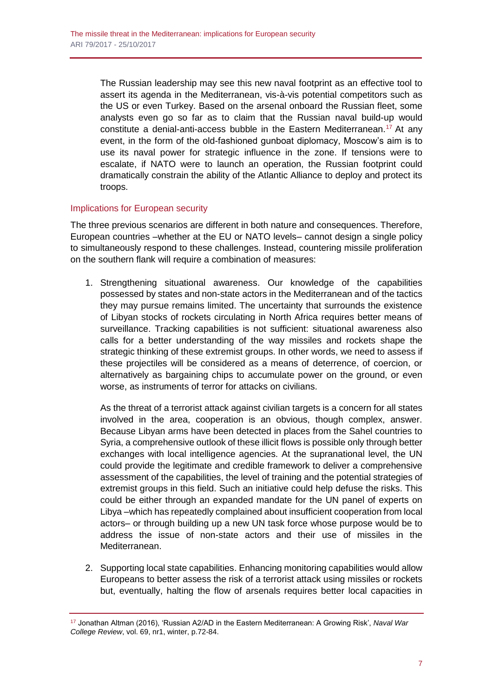The Russian leadership may see this new naval footprint as an effective tool to assert its agenda in the Mediterranean, vis-à-vis potential competitors such as the US or even Turkey. Based on the arsenal onboard the Russian fleet, some analysts even go so far as to claim that the Russian naval build-up would constitute a denial-anti-access bubble in the Eastern Mediterranean.<sup>17</sup> At any event, in the form of the old-fashioned gunboat diplomacy, Moscow's aim is to use its naval power for strategic influence in the zone. If tensions were to escalate, if NATO were to launch an operation, the Russian footprint could dramatically constrain the ability of the Atlantic Alliance to deploy and protect its troops.

## Implications for European security

The three previous scenarios are different in both nature and consequences. Therefore, European countries –whether at the EU or NATO levels– cannot design a single policy to simultaneously respond to these challenges. Instead, countering missile proliferation on the southern flank will require a combination of measures:

1. Strengthening situational awareness. Our knowledge of the capabilities possessed by states and non-state actors in the Mediterranean and of the tactics they may pursue remains limited. The uncertainty that surrounds the existence of Libyan stocks of rockets circulating in North Africa requires better means of surveillance. Tracking capabilities is not sufficient: situational awareness also calls for a better understanding of the way missiles and rockets shape the strategic thinking of these extremist groups. In other words, we need to assess if these projectiles will be considered as a means of deterrence, of coercion, or alternatively as bargaining chips to accumulate power on the ground, or even worse, as instruments of terror for attacks on civilians.

As the threat of a terrorist attack against civilian targets is a concern for all states involved in the area, cooperation is an obvious, though complex, answer. Because Libyan arms have been detected in places from the Sahel countries to Syria, a comprehensive outlook of these illicit flows is possible only through better exchanges with local intelligence agencies. At the supranational level, the UN could provide the legitimate and credible framework to deliver a comprehensive assessment of the capabilities, the level of training and the potential strategies of extremist groups in this field. Such an initiative could help defuse the risks. This could be either through an expanded mandate for the UN panel of experts on Libya –which has repeatedly complained about insufficient cooperation from local actors– or through building up a new UN task force whose purpose would be to address the issue of non-state actors and their use of missiles in the Mediterranean.

2. Supporting local state capabilities. Enhancing monitoring capabilities would allow Europeans to better assess the risk of a terrorist attack using missiles or rockets but, eventually, halting the flow of arsenals requires better local capacities in

<sup>17</sup> Jonathan Altman (2016), 'Russian A2/AD in the Eastern Mediterranean: A Growing Risk', *Naval War College Review*, vol. 69, nr1, winter, p.72-84.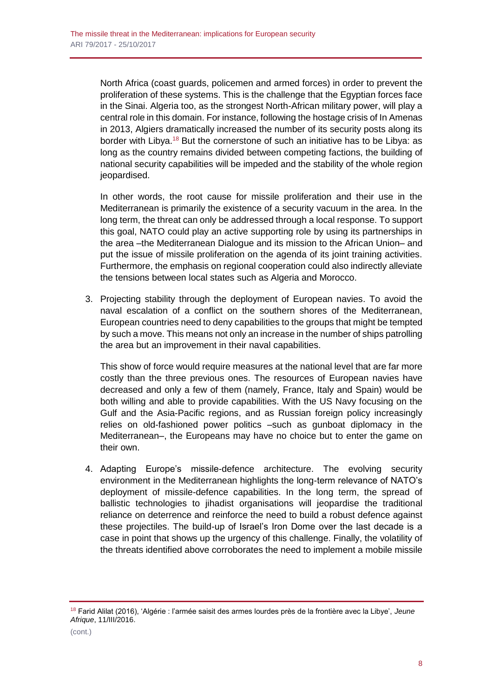North Africa (coast guards, policemen and armed forces) in order to prevent the proliferation of these systems. This is the challenge that the Egyptian forces face in the Sinai. Algeria too, as the strongest North-African military power, will play a central role in this domain. For instance, following the hostage crisis of In Amenas in 2013, Algiers dramatically increased the number of its security posts along its border with Libya.<sup>18</sup> But the cornerstone of such an initiative has to be Libya: as long as the country remains divided between competing factions, the building of national security capabilities will be impeded and the stability of the whole region jeopardised.

In other words, the root cause for missile proliferation and their use in the Mediterranean is primarily the existence of a security vacuum in the area. In the long term, the threat can only be addressed through a local response. To support this goal, NATO could play an active supporting role by using its partnerships in the area –the Mediterranean Dialogue and its mission to the African Union– and put the issue of missile proliferation on the agenda of its joint training activities. Furthermore, the emphasis on regional cooperation could also indirectly alleviate the tensions between local states such as Algeria and Morocco.

3. Projecting stability through the deployment of European navies. To avoid the naval escalation of a conflict on the southern shores of the Mediterranean, European countries need to deny capabilities to the groups that might be tempted by such a move. This means not only an increase in the number of ships patrolling the area but an improvement in their naval capabilities.

This show of force would require measures at the national level that are far more costly than the three previous ones. The resources of European navies have decreased and only a few of them (namely, France, Italy and Spain) would be both willing and able to provide capabilities. With the US Navy focusing on the Gulf and the Asia-Pacific regions, and as Russian foreign policy increasingly relies on old-fashioned power politics –such as gunboat diplomacy in the Mediterranean–, the Europeans may have no choice but to enter the game on their own.

4. Adapting Europe's missile-defence architecture. The evolving security environment in the Mediterranean highlights the long-term relevance of NATO's deployment of missile-defence capabilities. In the long term, the spread of ballistic technologies to jihadist organisations will jeopardise the traditional reliance on deterrence and reinforce the need to build a robust defence against these projectiles. The build-up of Israel's Iron Dome over the last decade is a case in point that shows up the urgency of this challenge. Finally, the volatility of the threats identified above corroborates the need to implement a mobile missile

<sup>18</sup> Farid Alilat (2016), 'Algérie : l'armée saisit des armes lourdes près de la frontière avec la Libye', *Jeune Afrique*, 11/III/2016.